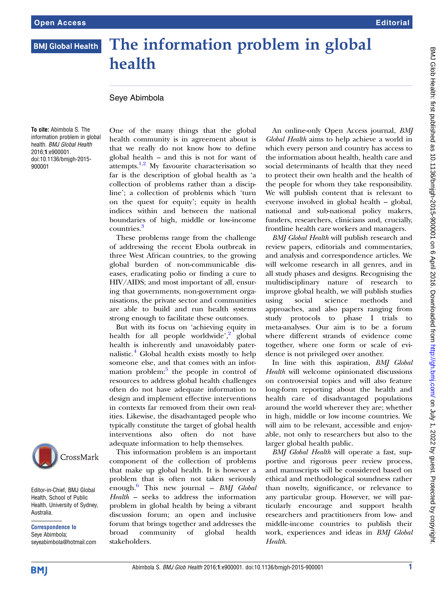## The information problem in global<br>health **BMJ Global Health** healtha anns an 1970.<br>Tagairtí

## Seye Abimbola

To cite: Abimbola S. The information problem in global health. BMJ Global Health 2016;1:e900001. doi:10.1136/bmjgh-2015- 900001



Editor-in-Chief, BMJ Global Health, School of Public Health, University of Sydney, Australia.

Correspondence to Seye Abimbola; seyeabimbola@hotmail.com One of the many things that the global health community is in agreement about is that we really do not know how to define global health – and this is not for want of attempts. $1,2$  My favourite characterisation so far is the description of global health as 'a collection of problems rather than a discipline'; a collection of problems which 'turn on the quest for equity'; equity in health indices within and between the national boundaries of high, middle or low-income countries.<sup>[3](#page-1-0)</sup>

These problems range from the challenge of addressing the recent Ebola outbreak in three West African countries, to the growing global burden of non-communicable diseases, eradicating polio or finding a cure to HIV/AIDS; and most important of all, ensuring that governments, non-government organisations, the private sector and communities are able to build and run health systems strong enough to facilitate these outcomes.

But with its focus on 'achieving equity in health for all people worldwide',<sup>[2](#page-1-0)</sup> global health is inherently and unavoidably paternalistic.[4](#page-1-0) Global health exists mostly to help someone else, and that comes with an infor-mation problem:<sup>[5](#page-1-0)</sup> the people in control of resources to address global health challenges often do not have adequate information to design and implement effective interventions in contexts far removed from their own realities. Likewise, the disadvantaged people who typically constitute the target of global health interventions also often do not have adequate information to help themselves.

This information problem is an important component of the collection of problems that make up global health. It is however a problem that is often not taken seriously enough.<sup>[6](#page-1-0)</sup> This new journal - BMJ Global Health – seeks to address the information problem in global health by being a vibrant discussion forum; an open and inclusive forum that brings together and addresses the broad community of global health stakeholders.

An online-only Open Access journal, BMJ Global Health aims to help achieve a world in which every person and country has access to the information about health, health care and social determinants of health that they need to protect their own health and the health of the people for whom they take responsibility. We will publish content that is relevant to everyone involved in global health – global, national and sub-national policy makers, funders, researchers, clinicians and, crucially, frontline health care workers and managers.

BMJ Global Health will publish research and review papers, editorials and commentaries, and analysis and correspondence articles. We will welcome research in all genres, and in all study phases and designs. Recognising the multidisciplinary nature of research to improve global health, we will publish studies using social science methods and approaches, and also papers ranging from study protocols to phase I trials to meta-analyses. Our aim is to be a forum where different strands of evidence come together, where one form or scale of evidence is not privileged over another.

In line with this aspiration, BMJ Global Health will welcome opinionated discussions on controversial topics and will also feature long-form reporting about the health and health care of disadvantaged populations around the world wherever they are; whether in high, middle or low income countries. We will aim to be relevant, accessible and enjoyable, not only to researchers but also to the larger global health public.

BMJ Global Health will operate a fast, supportive and rigorous peer review process, and manuscripts will be considered based on ethical and methodological soundness rather than novelty, significance, or relevance to any particular group. However, we will particularly encourage and support health researchers and practitioners from low- and middle-income countries to publish their work, experiences and ideas in BMJ Global Health.